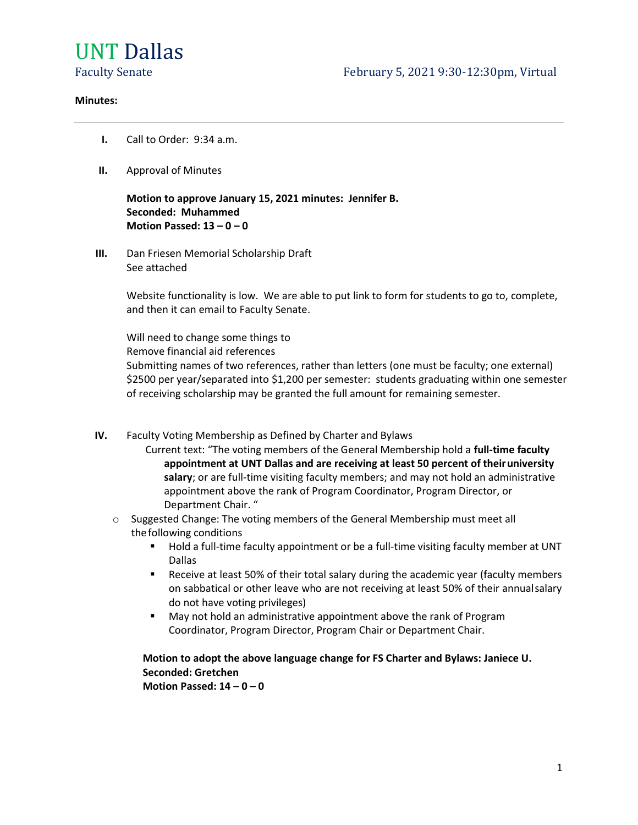

### Minutes:

- I. Call to Order: 9:34 a.m.
- II. Approval of Minutes

Motion to approve January 15, 2021 minutes: Jennifer B. Seconded: Muhammed Motion Passed:  $13 - 0 - 0$ 

III. Dan Friesen Memorial Scholarship Draft See attached

> Website functionality is low. We are able to put link to form for students to go to, complete, and then it can email to Faculty Senate.

Will need to change some things to Remove financial aid references Submitting names of two references, rather than letters (one must be faculty; one external) \$2500 per year/separated into \$1,200 per semester: students graduating within one semester of receiving scholarship may be granted the full amount for remaining semester.

- IV. Faculty Voting Membership as Defined by Charter and Bylaws
	- Current text: "The voting members of the General Membership hold a full-time faculty appointment at UNT Dallas and are receiving at least 50 percent of their university salary; or are full-time visiting faculty members; and may not hold an administrative appointment above the rank of Program Coordinator, Program Director, or Department Chair. "
	- o Suggested Change: The voting members of the General Membership must meet all the following conditions
		- Hold a full-time faculty appointment or be a full-time visiting faculty member at UNT Dallas
		- Receive at least 50% of their total salary during the academic year (faculty members on sabbatical or other leave who are not receiving at least 50% of their annual salary do not have voting privileges)
		- **May not hold an administrative appointment above the rank of Program** Coordinator, Program Director, Program Chair or Department Chair.

Motion to adopt the above language change for FS Charter and Bylaws: Janiece U. Seconded: Gretchen

Motion Passed:  $14 - 0 - 0$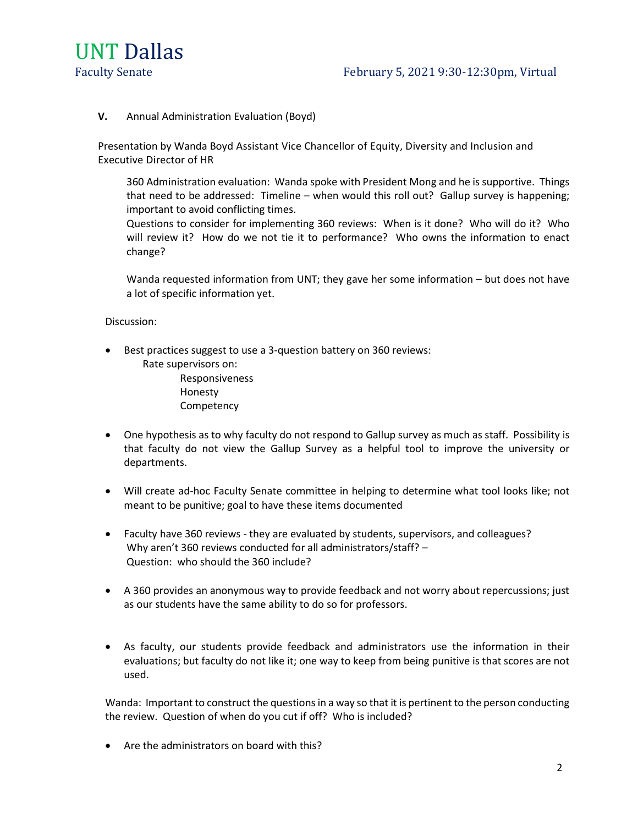

# V. Annual Administration Evaluation (Boyd)

Presentation by Wanda Boyd Assistant Vice Chancellor of Equity, Diversity and Inclusion and Executive Director of HR

360 Administration evaluation: Wanda spoke with President Mong and he is supportive. Things that need to be addressed: Timeline – when would this roll out? Gallup survey is happening; important to avoid conflicting times.

Questions to consider for implementing 360 reviews: When is it done? Who will do it? Who will review it? How do we not tie it to performance? Who owns the information to enact change?

Wanda requested information from UNT; they gave her some information – but does not have a lot of specific information yet.

#### Discussion:

- Best practices suggest to use a 3-question battery on 360 reviews:
	- Rate supervisors on: Responsiveness Honesty
		- **Competency**
- One hypothesis as to why faculty do not respond to Gallup survey as much as staff. Possibility is that faculty do not view the Gallup Survey as a helpful tool to improve the university or departments.
- Will create ad-hoc Faculty Senate committee in helping to determine what tool looks like; not meant to be punitive; goal to have these items documented
- Faculty have 360 reviews they are evaluated by students, supervisors, and colleagues? Why aren't 360 reviews conducted for all administrators/staff? – Question: who should the 360 include?
- A 360 provides an anonymous way to provide feedback and not worry about repercussions; just as our students have the same ability to do so for professors.
- As faculty, our students provide feedback and administrators use the information in their evaluations; but faculty do not like it; one way to keep from being punitive is that scores are not used.

Wanda: Important to construct the questions in a way so that it is pertinent to the person conducting the review. Question of when do you cut if off? Who is included?

Are the administrators on board with this?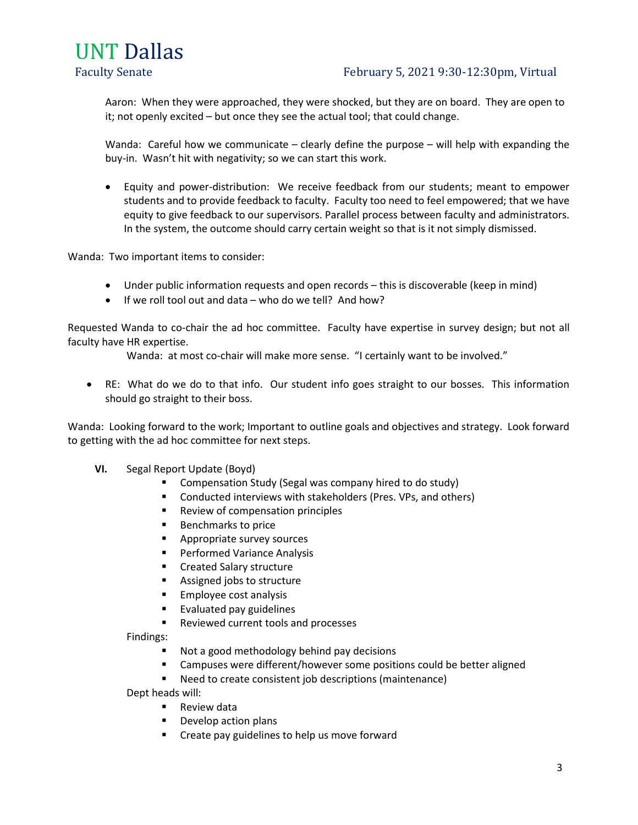UNT Dallas

# Faculty Senate Faculty Senate February 5, 2021 9:30-12:30pm, Virtual

Aaron: When they were approached, they were shocked, but they are on board. They are open to it; not openly excited – but once they see the actual tool; that could change.

Wanda: Careful how we communicate – clearly define the purpose – will help with expanding the buy-in. Wasn't hit with negativity; so we can start this work.

 Equity and power-distribution: We receive feedback from our students; meant to empower students and to provide feedback to faculty. Faculty too need to feel empowered; that we have equity to give feedback to our supervisors. Parallel process between faculty and administrators. In the system, the outcome should carry certain weight so that is it not simply dismissed.

Wanda: Two important items to consider:

- Under public information requests and open records this is discoverable (keep in mind)
- $\bullet$  If we roll tool out and data who do we tell? And how?

Requested Wanda to co-chair the ad hoc committee. Faculty have expertise in survey design; but not all faculty have HR expertise.

Wanda: at most co-chair will make more sense. "I certainly want to be involved."

 RE: What do we do to that info. Our student info goes straight to our bosses. This information should go straight to their boss.

Wanda: Looking forward to the work; Important to outline goals and objectives and strategy. Look forward to getting with the ad hoc committee for next steps.

- VI. Segal Report Update (Boyd)
	- **Compensation Study (Segal was company hired to do study)**
	- **Conducted interviews with stakeholders (Pres. VPs, and others)**
	- **Review of compensation principles**
	- Benchmarks to price
	- **Appropriate survey sources**
	- **Performed Variance Analysis**
	- **EXECRED** Created Salary structure
	- **Assigned jobs to structure**
	- **Employee cost analysis**
	- **Evaluated pay guidelines**
	- Reviewed current tools and processes

Findings:

- Not a good methodology behind pay decisions
- Campuses were different/however some positions could be better aligned
- Need to create consistent job descriptions (maintenance)

Dept heads will:

- Review data
- **Develop action plans**
- **EXTERG** Create pay guidelines to help us move forward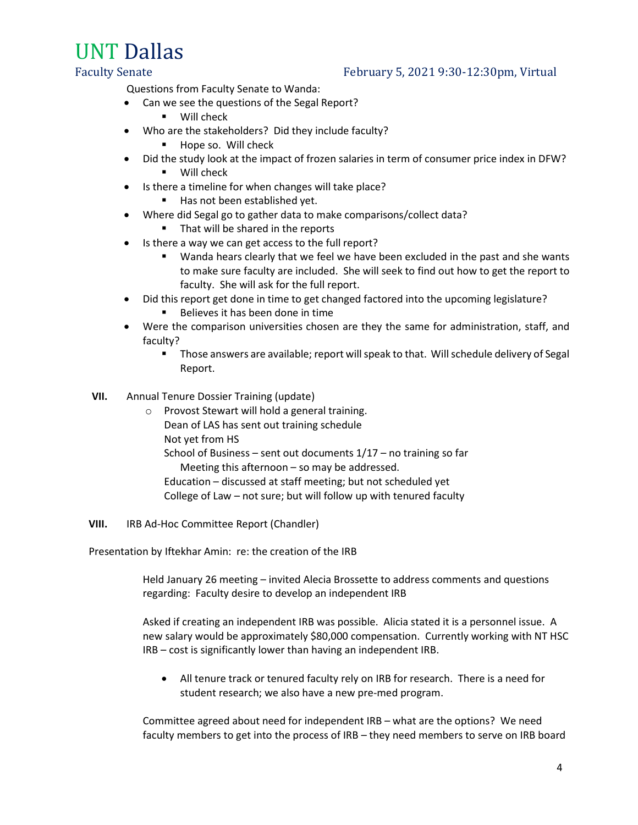# UNT Dallas

# Faculty Senate February 5, 2021 9:30-12:30pm, Virtual

Questions from Faculty Senate to Wanda:

- Can we see the questions of the Segal Report?
	- **Will check**
- Who are the stakeholders? Did they include faculty?
	- Hope so. Will check
- Did the study look at the impact of frozen salaries in term of consumer price index in DFW? ■ Will check
- Is there a timeline for when changes will take place?
	- Has not been established yet.
- Where did Segal go to gather data to make comparisons/collect data?
	- That will be shared in the reports
- Is there a way we can get access to the full report?
	- Wanda hears clearly that we feel we have been excluded in the past and she wants to make sure faculty are included. She will seek to find out how to get the report to faculty. She will ask for the full report.
- Did this report get done in time to get changed factored into the upcoming legislature?
	- Believes it has been done in time
- Were the comparison universities chosen are they the same for administration, staff, and faculty?
	- **Those answers are available; report will speak to that. Will schedule delivery of Segal** Report.
- VII. Annual Tenure Dossier Training (update)
	- o Provost Stewart will hold a general training. Dean of LAS has sent out training schedule Not yet from HS School of Business – sent out documents 1/17 – no training so far Meeting this afternoon – so may be addressed. Education – discussed at staff meeting; but not scheduled yet College of Law – not sure; but will follow up with tenured faculty
- VIII. IRB Ad-Hoc Committee Report (Chandler)

Presentation by Iftekhar Amin: re: the creation of the IRB

Held January 26 meeting – invited Alecia Brossette to address comments and questions regarding: Faculty desire to develop an independent IRB

Asked if creating an independent IRB was possible. Alicia stated it is a personnel issue. A new salary would be approximately \$80,000 compensation. Currently working with NT HSC IRB – cost is significantly lower than having an independent IRB.

 All tenure track or tenured faculty rely on IRB for research. There is a need for student research; we also have a new pre-med program.

Committee agreed about need for independent IRB – what are the options? We need faculty members to get into the process of IRB – they need members to serve on IRB board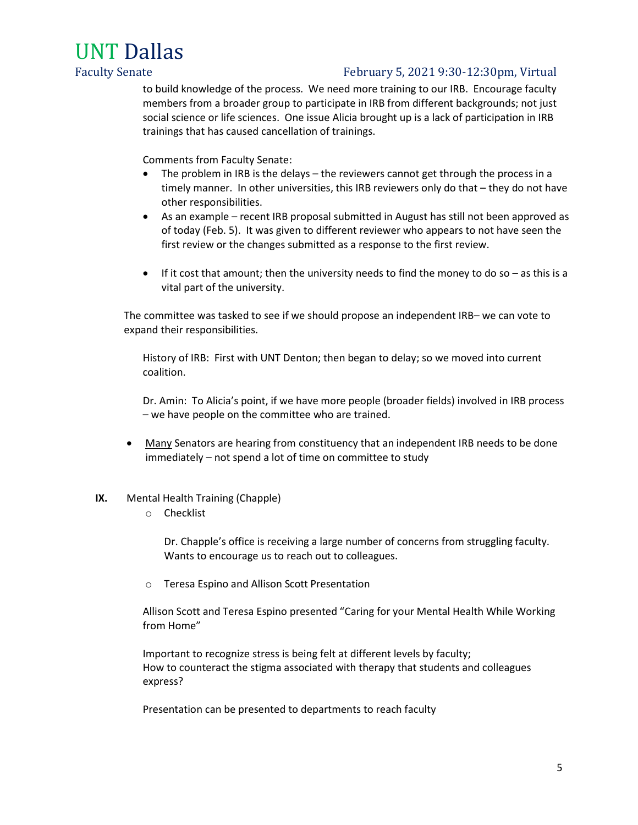

# Faculty Senate February 5, 2021 9:30-12:30pm, Virtual

to build knowledge of the process. We need more training to our IRB. Encourage faculty members from a broader group to participate in IRB from different backgrounds; not just social science or life sciences. One issue Alicia brought up is a lack of participation in IRB trainings that has caused cancellation of trainings.

Comments from Faculty Senate:

- The problem in IRB is the delays the reviewers cannot get through the process in a timely manner. In other universities, this IRB reviewers only do that – they do not have other responsibilities.
- As an example recent IRB proposal submitted in August has still not been approved as of today (Feb. 5). It was given to different reviewer who appears to not have seen the first review or the changes submitted as a response to the first review.
- If it cost that amount; then the university needs to find the money to do so  $-$  as this is a vital part of the university.

The committee was tasked to see if we should propose an independent IRB– we can vote to expand their responsibilities.

History of IRB: First with UNT Denton; then began to delay; so we moved into current coalition.

Dr. Amin: To Alicia's point, if we have more people (broader fields) involved in IRB process – we have people on the committee who are trained.

- Many Senators are hearing from constituency that an independent IRB needs to be done immediately – not spend a lot of time on committee to study
- IX. Mental Health Training (Chapple)
	- o Checklist

 Dr. Chapple's office is receiving a large number of concerns from struggling faculty. Wants to encourage us to reach out to colleagues.

o Teresa Espino and Allison Scott Presentation

Allison Scott and Teresa Espino presented "Caring for your Mental Health While Working from Home"

Important to recognize stress is being felt at different levels by faculty; How to counteract the stigma associated with therapy that students and colleagues express?

Presentation can be presented to departments to reach faculty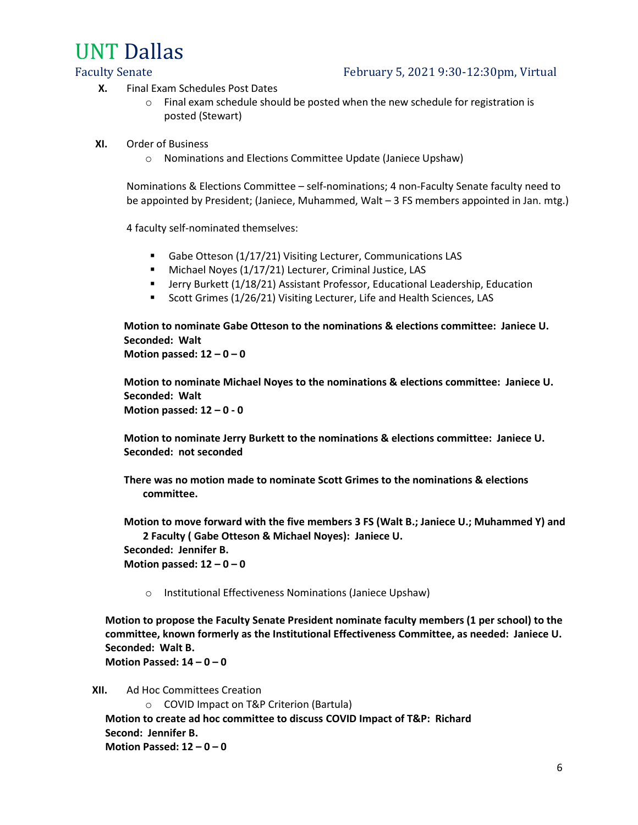

- X. Final Exam Schedules Post Dates
	- o Final exam schedule should be posted when the new schedule for registration is posted (Stewart)
- XI. Order of Business
	- o Nominations and Elections Committee Update (Janiece Upshaw)

Nominations & Elections Committee – self-nominations; 4 non-Faculty Senate faculty need to be appointed by President; (Janiece, Muhammed, Walt – 3 FS members appointed in Jan. mtg.)

4 faculty self-nominated themselves:

- Gabe Otteson (1/17/21) Visiting Lecturer, Communications LAS
- **Michael Noyes (1/17/21) Lecturer, Criminal Justice, LAS**
- **UPICH SURFY BURKET (1/18/21) Assistant Professor, Educational Leadership, Education**
- **Scott Grimes (1/26/21) Visiting Lecturer, Life and Health Sciences, LAS**

Motion to nominate Gabe Otteson to the nominations & elections committee: Janiece U. Seconded: Walt Motion passed:  $12 - 0 - 0$ 

Motion to nominate Michael Noyes to the nominations & elections committee: Janiece U. Seconded: Walt Motion passed:  $12 - 0 - 0$ 

Motion to nominate Jerry Burkett to the nominations & elections committee: Janiece U. Seconded: not seconded

There was no motion made to nominate Scott Grimes to the nominations & elections committee.

Motion to move forward with the five members 3 FS (Walt B.; Janiece U.; Muhammed Y) and 2 Faculty ( Gabe Otteson & Michael Noyes): Janiece U.

Seconded: Jennifer B. Motion passed:  $12 - 0 - 0$ 

o Institutional Effectiveness Nominations (Janiece Upshaw)

Motion to propose the Faculty Senate President nominate faculty members (1 per school) to the committee, known formerly as the Institutional Effectiveness Committee, as needed: Janiece U. Seconded: Walt B. Motion Passed:  $14 - 0 - 0$ 

XII. Ad Hoc Committees Creation o COVID Impact on T&P Criterion (Bartula)

Motion to create ad hoc committee to discuss COVID Impact of T&P: Richard Second: Jennifer B. Motion Passed: 12 – 0 – 0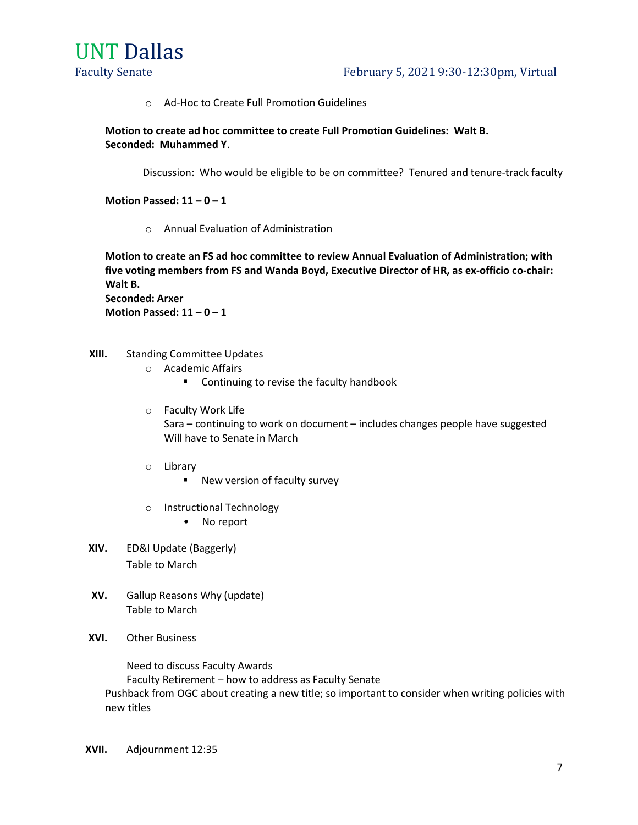

o Ad-Hoc to Create Full Promotion Guidelines

Motion to create ad hoc committee to create Full Promotion Guidelines: Walt B. Seconded: Muhammed Y.

Discussion: Who would be eligible to be on committee? Tenured and tenure-track faculty

# Motion Passed:  $11 - 0 - 1$

o Annual Evaluation of Administration

Motion to create an FS ad hoc committee to review Annual Evaluation of Administration; with five voting members from FS and Wanda Boyd, Executive Director of HR, as ex-officio co-chair: Walt B. Seconded: Arxer

Motion Passed:  $11 - 0 - 1$ 

- XIII. Standing Committee Updates
	- o Academic Affairs
		- **EXECONTERGY CONTINUITY CONTINUITY CONTINUITY** Continuing to revise the faculty handbook
	- o Faculty Work Life Sara – continuing to work on document – includes changes people have suggested Will have to Senate in March
	- o Library
		- **New version of faculty survey**
	- o Instructional Technology
		- No report
- XIV. ED&I Update (Baggerly) Table to March
- XV. Gallup Reasons Why (update) Table to March
- XVI. Other Business

 Need to discuss Faculty Awards Faculty Retirement – how to address as Faculty Senate Pushback from OGC about creating a new title; so important to consider when writing policies with new titles